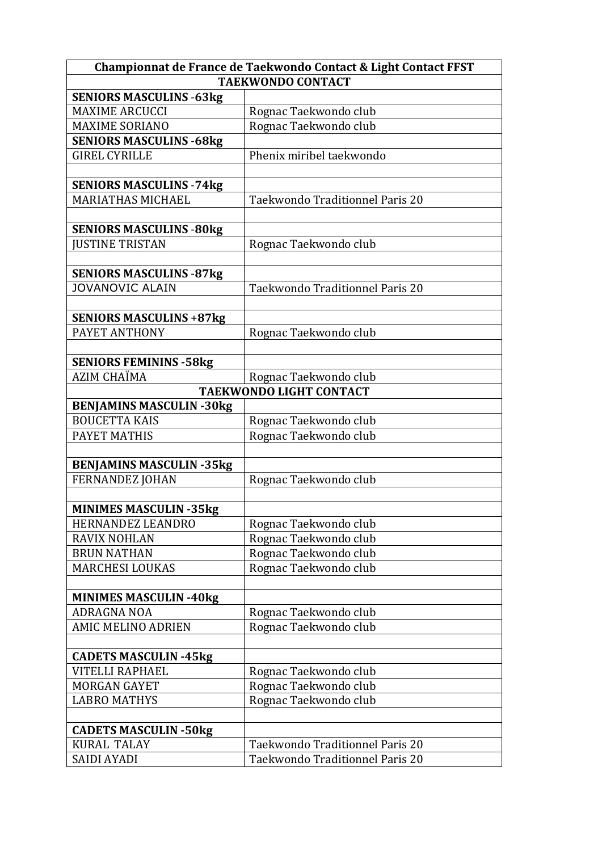| Championnat de France de Taekwondo Contact & Light Contact FFST |                                 |
|-----------------------------------------------------------------|---------------------------------|
| <b>TAEKWONDO CONTACT</b>                                        |                                 |
| <b>SENIORS MASCULINS -63kg</b>                                  |                                 |
| <b>MAXIME ARCUCCI</b>                                           | Rognac Taekwondo club           |
| <b>MAXIME SORIANO</b>                                           | Rognac Taekwondo club           |
| <b>SENIORS MASCULINS -68kg</b>                                  |                                 |
| <b>GIREL CYRILLE</b>                                            | Phenix miribel taekwondo        |
|                                                                 |                                 |
| <b>SENIORS MASCULINS - 74kg</b>                                 |                                 |
| <b>MARIATHAS MICHAEL</b>                                        | Taekwondo Traditionnel Paris 20 |
|                                                                 |                                 |
| <b>SENIORS MASCULINS -80kg</b>                                  |                                 |
| <b>JUSTINE TRISTAN</b>                                          | Rognac Taekwondo club           |
|                                                                 |                                 |
| <b>SENIORS MASCULINS -87kg</b>                                  |                                 |
| JOVANOVIC ALAIN                                                 | Taekwondo Traditionnel Paris 20 |
|                                                                 |                                 |
| <b>SENIORS MASCULINS +87kg</b>                                  |                                 |
| PAYET ANTHONY                                                   | Rognac Taekwondo club           |
|                                                                 |                                 |
| <b>SENIORS FEMININS - 58kg</b>                                  |                                 |
| <b>AZIM CHAÏMA</b>                                              | Rognac Taekwondo club           |
| <b>TAEKWONDO LIGHT CONTACT</b>                                  |                                 |
| <b>BENJAMINS MASCULIN -30kg</b>                                 |                                 |
| <b>BOUCETTA KAIS</b>                                            | Rognac Taekwondo club           |
| PAYET MATHIS                                                    | Rognac Taekwondo club           |
|                                                                 |                                 |
| <b>BENJAMINS MASCULIN -35kg</b>                                 |                                 |
| <b>FERNANDEZ JOHAN</b>                                          | Rognac Taekwondo club           |
|                                                                 |                                 |
| <b>MINIMES MASCULIN -35kg</b>                                   |                                 |
| HERNANDEZ LEANDRO                                               | Rognac Taekwondo club           |
| <b>RAVIX NOHLAN</b>                                             | Rognac Taekwondo club           |
| <b>BRUN NATHAN</b>                                              | Rognac Taekwondo club           |
| <b>MARCHESI LOUKAS</b>                                          | Rognac Taekwondo club           |
|                                                                 |                                 |
| <b>MINIMES MASCULIN -40kg</b>                                   |                                 |
| <b>ADRAGNA NOA</b>                                              | Rognac Taekwondo club           |
| <b>AMIC MELINO ADRIEN</b>                                       | Rognac Taekwondo club           |
|                                                                 |                                 |
| <b>CADETS MASCULIN -45kg</b>                                    |                                 |
| <b>VITELLI RAPHAEL</b>                                          | Rognac Taekwondo club           |
| <b>MORGAN GAYET</b>                                             | Rognac Taekwondo club           |
| <b>LABRO MATHYS</b>                                             | Rognac Taekwondo club           |
|                                                                 |                                 |
| <b>CADETS MASCULIN -50kg</b>                                    |                                 |
| <b>KURAL TALAY</b>                                              | Taekwondo Traditionnel Paris 20 |
| SAIDI AYADI                                                     | Taekwondo Traditionnel Paris 20 |